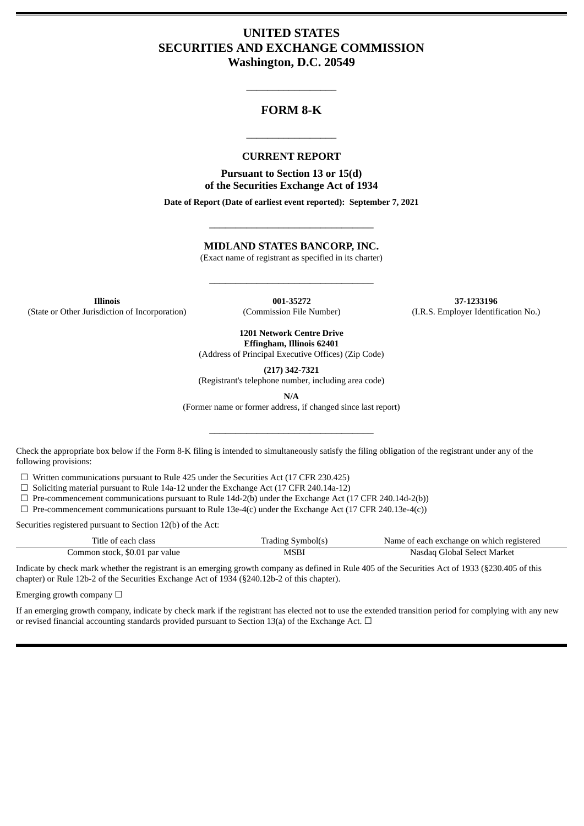# **UNITED STATES SECURITIES AND EXCHANGE COMMISSION Washington, D.C. 20549**

# **FORM 8-K**

\_\_\_\_\_\_\_\_\_\_\_\_\_\_\_\_\_

#### **CURRENT REPORT**

\_\_\_\_\_\_\_\_\_\_\_\_\_\_\_\_\_

**Pursuant to Section 13 or 15(d) of the Securities Exchange Act of 1934**

**Date of Report (Date of earliest event reported): September 7, 2021**

## **MIDLAND STATES BANCORP, INC.**

\_\_\_\_\_\_\_\_\_\_\_\_\_\_\_\_\_\_\_\_\_\_\_\_\_\_\_\_\_\_\_

(Exact name of registrant as specified in its charter)

\_\_\_\_\_\_\_\_\_\_\_\_\_\_\_\_\_\_\_\_\_\_\_\_\_\_\_\_\_\_\_

**Illinois 001-35272 37-1233196** (State or Other Jurisdiction of Incorporation) (Commission File Number) (I.R.S. Employer Identification No.)

> **1201 Network Centre Drive Effingham, Illinois 62401**

(Address of Principal Executive Offices) (Zip Code)

**(217) 342-7321**

(Registrant's telephone number, including area code)

**N/A**

(Former name or former address, if changed since last report)

\_\_\_\_\_\_\_\_\_\_\_\_\_\_\_\_\_\_\_\_\_\_\_\_\_\_\_\_\_\_\_

Check the appropriate box below if the Form 8-K filing is intended to simultaneously satisfy the filing obligation of the registrant under any of the following provisions:

☐ Written communications pursuant to Rule 425 under the Securities Act (17 CFR 230.425)

 $\Box$  Soliciting material pursuant to Rule 14a-12 under the Exchange Act (17 CFR 240.14a-12)

 $\Box$  Pre-commencement communications pursuant to Rule 14d-2(b) under the Exchange Act (17 CFR 240.14d-2(b))

 $\Box$  Pre-commencement communications pursuant to Rule 13e-4(c) under the Exchange Act (17 CFR 240.13e-4(c))

Securities registered pursuant to Section 12(b) of the Act:

| Title of each class            | <b>Trading Symbol(s)</b> | Name of each exchange on which registered |
|--------------------------------|--------------------------|-------------------------------------------|
| Common stock, \$0.01 par value | MSBI                     | Nasdag Global Select Market               |

Indicate by check mark whether the registrant is an emerging growth company as defined in Rule 405 of the Securities Act of 1933 (§230.405 of this chapter) or Rule 12b-2 of the Securities Exchange Act of 1934 (§240.12b-2 of this chapter).

Emerging growth company  $\Box$ 

If an emerging growth company, indicate by check mark if the registrant has elected not to use the extended transition period for complying with any new or revised financial accounting standards provided pursuant to Section 13(a) of the Exchange Act.  $\Box$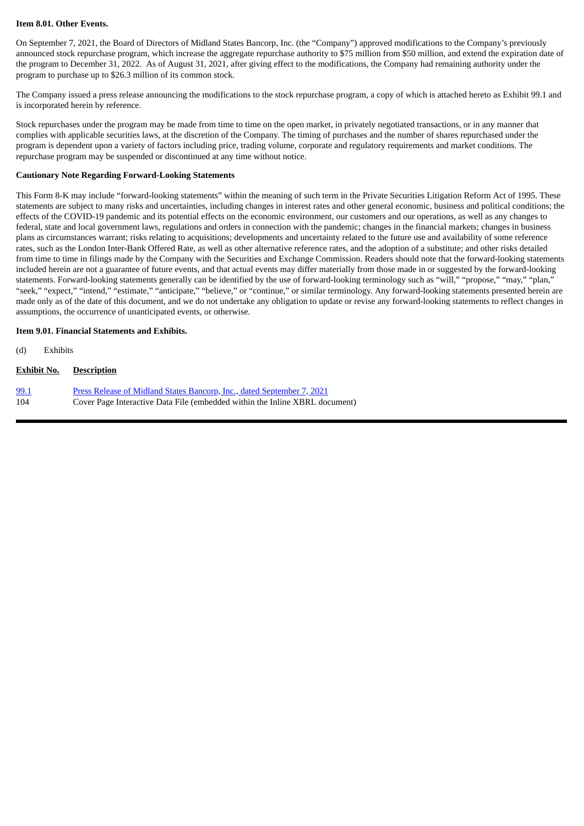#### **Item 8.01. Other Events.**

On September 7, 2021, the Board of Directors of Midland States Bancorp, Inc. (the "Company") approved modifications to the Company's previously announced stock repurchase program, which increase the aggregate repurchase authority to \$75 million from \$50 million, and extend the expiration date of the program to December 31, 2022. As of August 31, 2021, after giving effect to the modifications, the Company had remaining authority under the program to purchase up to \$26.3 million of its common stock.

The Company issued a press release announcing the modifications to the stock repurchase program, a copy of which is attached hereto as Exhibit 99.1 and is incorporated herein by reference.

Stock repurchases under the program may be made from time to time on the open market, in privately negotiated transactions, or in any manner that complies with applicable securities laws, at the discretion of the Company. The timing of purchases and the number of shares repurchased under the program is dependent upon a variety of factors including price, trading volume, corporate and regulatory requirements and market conditions. The repurchase program may be suspended or discontinued at any time without notice.

#### **Cautionary Note Regarding Forward-Looking Statements**

This Form 8-K may include "forward-looking statements" within the meaning of such term in the Private Securities Litigation Reform Act of 1995. These statements are subject to many risks and uncertainties, including changes in interest rates and other general economic, business and political conditions; the effects of the COVID-19 pandemic and its potential effects on the economic environment, our customers and our operations, as well as any changes to federal, state and local government laws, regulations and orders in connection with the pandemic; changes in the financial markets; changes in business plans as circumstances warrant; risks relating to acquisitions; developments and uncertainty related to the future use and availability of some reference rates, such as the London Inter-Bank Offered Rate, as well as other alternative reference rates, and the adoption of a substitute; and other risks detailed from time to time in filings made by the Company with the Securities and Exchange Commission. Readers should note that the forward-looking statements included herein are not a guarantee of future events, and that actual events may differ materially from those made in or suggested by the forward-looking statements. Forward-looking statements generally can be identified by the use of forward-looking terminology such as "will," "propose," "may," "plan," "seek," "expect," "intend," "estimate," "anticipate," "believe," or "continue," or similar terminology. Any forward-looking statements presented herein are made only as of the date of this document, and we do not undertake any obligation to update or revise any forward-looking statements to reflect changes in assumptions, the occurrence of unanticipated events, or otherwise.

#### **Item 9.01. Financial Statements and Exhibits.**

(d) Exhibits

#### **Exhibit No. Description**

[99.1](#page-3-0) Press Release of Midland States Bancorp, Inc., dated [September](#page-3-0) 7, 2021 104 Cover Page Interactive Data File (embedded within the Inline XBRL document)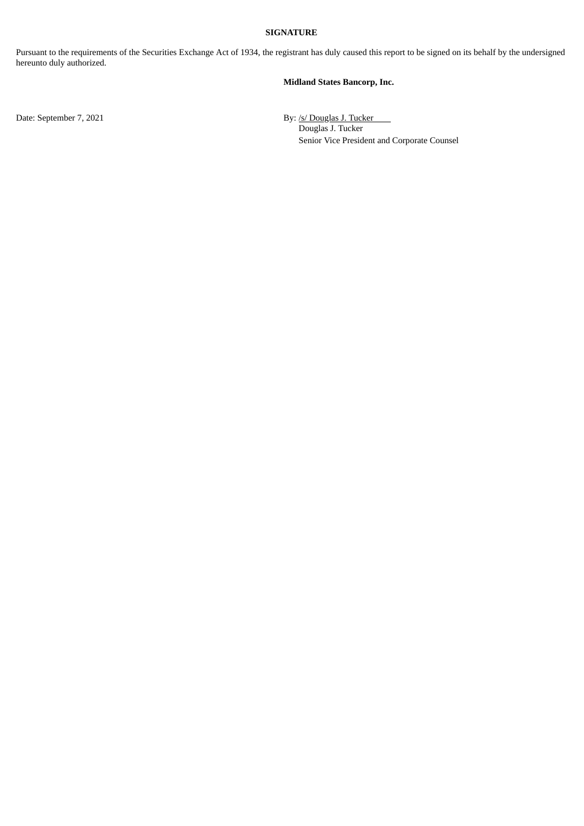## **SIGNATURE**

Pursuant to the requirements of the Securities Exchange Act of 1934, the registrant has duly caused this report to be signed on its behalf by the undersigned hereunto duly authorized.

#### **Midland States Bancorp, Inc.**

Date: September 7, 2021 By: /s/ Douglas J. Tucker Douglas J. Tucker Senior Vice President and Corporate Counsel